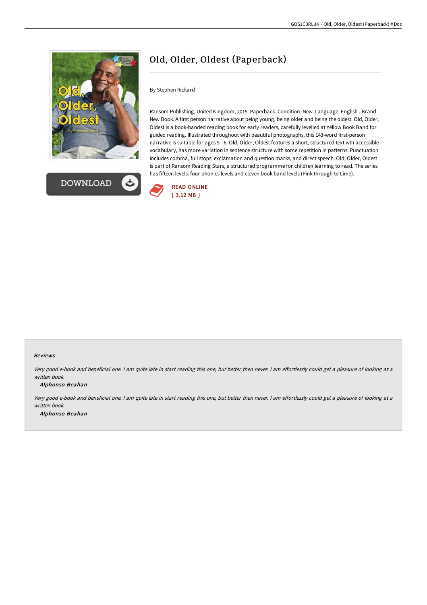



# Old, Older, Oldest (Paperback)

By Stephen Rickard

Ransom Publishing, United Kingdom, 2015. Paperback. Condition: New. Language: English . Brand New Book. A first person narrative about being young, being older and being the oldest. Old, Older, Oldest is a book-banded reading book for early readers, carefully levelled at Yellow Book Band for guided reading. Illustrated throughout with beautiful photographs, this 143-word first-person narrative is suitable for ages 5 - 6. Old, Older, Oldest features a short, structured text wth accessible vocabulary, has more variation in sentence structure with some repetition in patterns. Punctuation includes comma, full stops, exclamation and question marks, and direct speech. Old, Older, Oldest is part of Ransom Reading Stars, a structured programme for children learning to read. The series has fifteen levels: four phonics levels and eleven book band levels (Pink through to Lime).



#### Reviews

Very good e-book and beneficial one. I am quite late in start reading this one, but better then never. I am effortlessly could get a pleasure of looking at a written book.

#### -- Alphonso Beahan

Very good e-book and beneficial one. I am quite late in start reading this one, but better then never. I am effortlessly could get a pleasure of looking at a written book. -- Alphonso Beahan